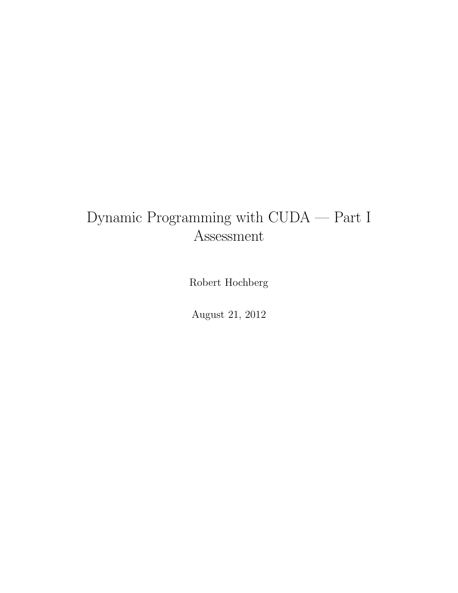## Dynamic Programming with CUDA — Part I Assessment

Robert Hochberg

August 21, 2012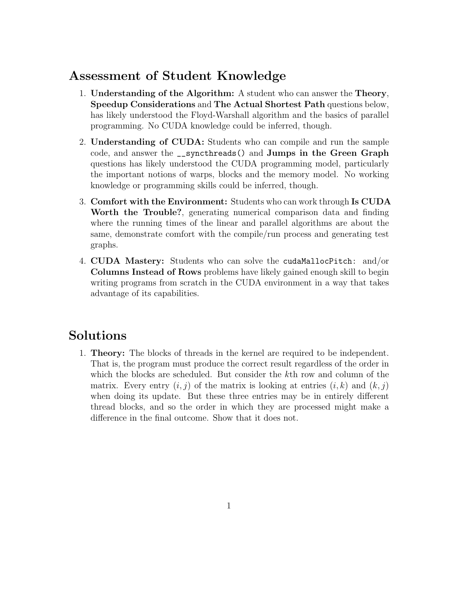## Assessment of Student Knowledge

- 1. Understanding of the Algorithm: A student who can answer the Theory, Speedup Considerations and The Actual Shortest Path questions below, has likely understood the Floyd-Warshall algorithm and the basics of parallel programming. No CUDA knowledge could be inferred, though.
- 2. Understanding of CUDA: Students who can compile and run the sample code, and answer the \_\_syncthreads() and Jumps in the Green Graph questions has likely understood the CUDA programming model, particularly the important notions of warps, blocks and the memory model. No working knowledge or programming skills could be inferred, though.
- 3. Comfort with the Environment: Students who can work through Is CUDA Worth the Trouble?, generating numerical comparison data and finding where the running times of the linear and parallel algorithms are about the same, demonstrate comfort with the compile/run process and generating test graphs.
- 4. CUDA Mastery: Students who can solve the cudaMallocPitch: and/or Columns Instead of Rows problems have likely gained enough skill to begin writing programs from scratch in the CUDA environment in a way that takes advantage of its capabilities.

## Solutions

1. Theory: The blocks of threads in the kernel are required to be independent. That is, the program must produce the correct result regardless of the order in which the blocks are scheduled. But consider the kth row and column of the matrix. Every entry  $(i, j)$  of the matrix is looking at entries  $(i, k)$  and  $(k, j)$ when doing its update. But these three entries may be in entirely different thread blocks, and so the order in which they are processed might make a difference in the final outcome. Show that it does not.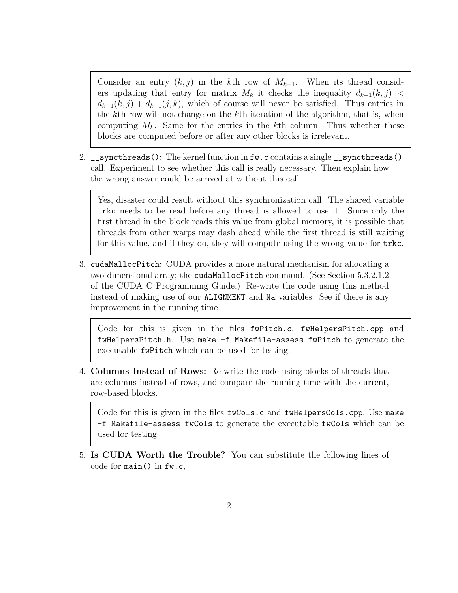Consider an entry  $(k, j)$  in the kth row of  $M_{k-1}$ . When its thread considers updating that entry for matrix  $M_k$  it checks the inequality  $d_{k-1}(k, j)$  <  $d_{k-1}(k, j) + d_{k-1}(j, k)$ , which of course will never be satisfied. Thus entries in the kth row will not change on the kth iteration of the algorithm, that is, when computing  $M_k$ . Same for the entries in the kth column. Thus whether these blocks are computed before or after any other blocks is irrelevant.

2. \_\_syncthreads(): The kernel function in fw.c contains a single \_\_syncthreads() call. Experiment to see whether this call is really necessary. Then explain how the wrong answer could be arrived at without this call.

Yes, disaster could result without this synchronization call. The shared variable trkc needs to be read before any thread is allowed to use it. Since only the first thread in the block reads this value from global memory, it is possible that threads from other warps may dash ahead while the first thread is still waiting for this value, and if they do, they will compute using the wrong value for trkc.

3. cudaMallocPitch: CUDA provides a more natural mechanism for allocating a two-dimensional array; the cudaMallocPitch command. (See Section 5.3.2.1.2 of the CUDA C Programming Guide.) Re-write the code using this method instead of making use of our ALIGNMENT and Na variables. See if there is any improvement in the running time.

Code for this is given in the files fwPitch.c, fwHelpersPitch.cpp and fwHelpersPitch.h. Use make -f Makefile-assess fwPitch to generate the executable fwPitch which can be used for testing.

4. Columns Instead of Rows: Re-write the code using blocks of threads that are columns instead of rows, and compare the running time with the current, row-based blocks.

Code for this is given in the files  $fwCols.c$  and  $fwHe1persCols.cpp$ , Use make -f Makefile-assess fwCols to generate the executable fwCols which can be used for testing.

5. Is CUDA Worth the Trouble? You can substitute the following lines of code for main() in fw.c,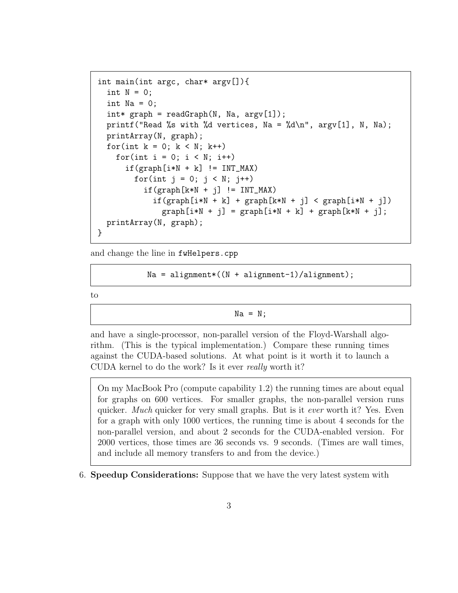```
int main(int argc, char* argv[]){
  int N = 0;
  int Na = 0;
  int* graph = readGraph(N, Na, argv[1]);printf("Read %s with %d vertices, Na = %d\n", argv[1], N, Na);
  printArray(N, graph);
  for(int k = 0; k < N; k++)
    for(int i = 0; i < N; i++)
      if(graph[i*N + k] != INT_MAX)for(int j = 0; j < N; j^{++})
          if(graph[k*N + j] != INT_MAX)if(graph[i*N + k] + graph[k*N + j] < graph[i*N + j])graph[i*N + j] = graph[i*N + k] + graph[k*N + j];printArray(N, graph);
}
```
and change the line in fwHelpers.cpp

 $Na = alignment * ((N + alignment-1)/alignment);$ 

to

 $Na = N;$ 

and have a single-processor, non-parallel version of the Floyd-Warshall algorithm. (This is the typical implementation.) Compare these running times against the CUDA-based solutions. At what point is it worth it to launch a CUDA kernel to do the work? Is it ever really worth it?

On my MacBook Pro (compute capability 1.2) the running times are about equal for graphs on 600 vertices. For smaller graphs, the non-parallel version runs quicker. Much quicker for very small graphs. But is it *ever* worth it? Yes. Even for a graph with only 1000 vertices, the running time is about 4 seconds for the non-parallel version, and about 2 seconds for the CUDA-enabled version. For 2000 vertices, those times are 36 seconds vs. 9 seconds. (Times are wall times, and include all memory transfers to and from the device.)

6. Speedup Considerations: Suppose that we have the very latest system with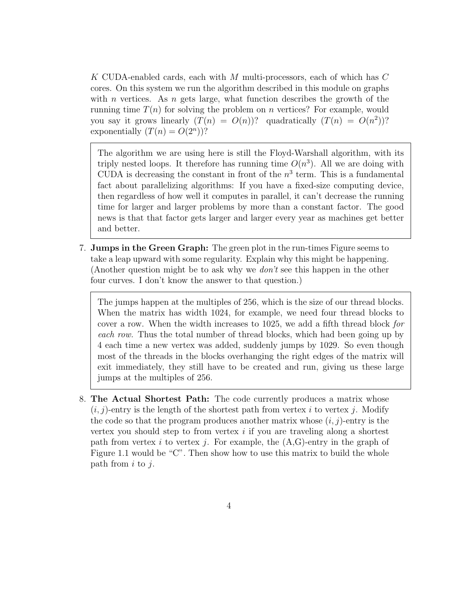K CUDA-enabled cards, each with M multi-processors, each of which has C cores. On this system we run the algorithm described in this module on graphs with n vertices. As n gets large, what function describes the growth of the running time  $T(n)$  for solving the problem on n vertices? For example, would you say it grows linearly  $(T(n) = O(n))$ ? quadratically  $(T(n) = O(n^2))$ ? exponentially  $(T(n) = O(2^n))$ ?

The algorithm we are using here is still the Floyd-Warshall algorithm, with its triply nested loops. It therefore has running time  $O(n^3)$ . All we are doing with CUDA is decreasing the constant in front of the  $n^3$  term. This is a fundamental fact about parallelizing algorithms: If you have a fixed-size computing device, then regardless of how well it computes in parallel, it can't decrease the running time for larger and larger problems by more than a constant factor. The good news is that that factor gets larger and larger every year as machines get better and better.

7. Jumps in the Green Graph: The green plot in the run-times Figure seems to take a leap upward with some regularity. Explain why this might be happening. (Another question might be to ask why we  $don't$  see this happen in the other four curves. I don't know the answer to that question.)

The jumps happen at the multiples of 256, which is the size of our thread blocks. When the matrix has width 1024, for example, we need four thread blocks to cover a row. When the width increases to 1025, we add a fifth thread block for each row. Thus the total number of thread blocks, which had been going up by 4 each time a new vertex was added, suddenly jumps by 1029. So even though most of the threads in the blocks overhanging the right edges of the matrix will exit immediately, they still have to be created and run, giving us these large jumps at the multiples of 256.

8. The Actual Shortest Path: The code currently produces a matrix whose  $(i, j)$ -entry is the length of the shortest path from vertex i to vertex j. Modify the code so that the program produces another matrix whose  $(i, j)$ -entry is the vertex you should step to from vertex  $i$  if you are traveling along a shortest path from vertex i to vertex j. For example, the  $(A,G)$ -entry in the graph of Figure 1.1 would be "C". Then show how to use this matrix to build the whole path from  $i$  to  $j$ .